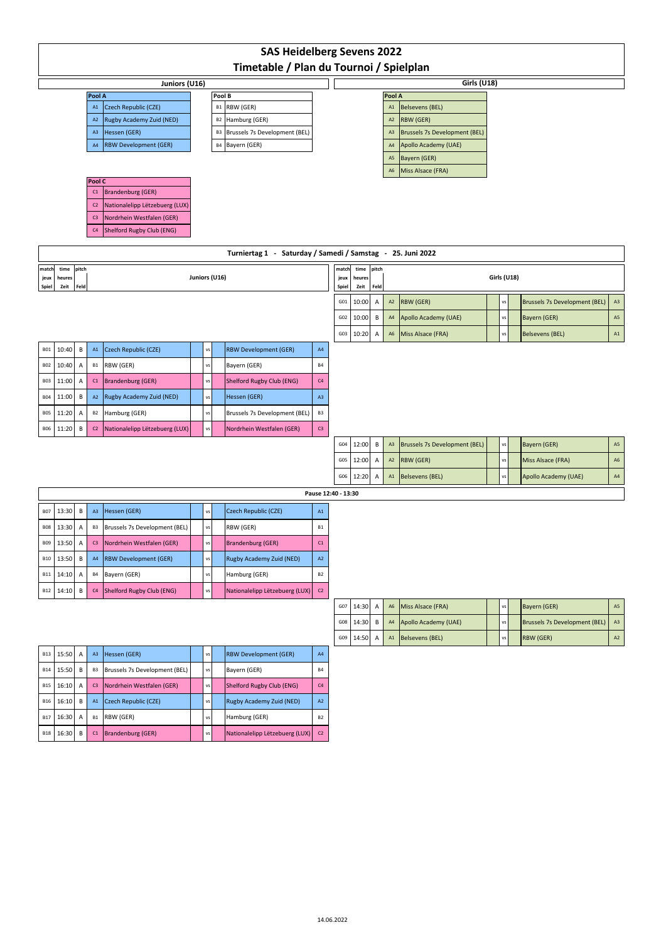| <b>SAS Heidelberg Sevens 2022</b>                          |                |                |                                |  |               |        |                                  |                   |                     |                |              |                                  |                                      |               |                                      |               |
|------------------------------------------------------------|----------------|----------------|--------------------------------|--|---------------|--------|----------------------------------|-------------------|---------------------|----------------|--------------|----------------------------------|--------------------------------------|---------------|--------------------------------------|---------------|
| Timetable / Plan du Tournoi / Spielplan                    |                |                |                                |  |               |        |                                  |                   |                     |                |              |                                  |                                      |               |                                      |               |
| Juniors (U16)                                              |                |                |                                |  |               |        |                                  |                   |                     |                |              |                                  | Girls (U18)                          |               |                                      |               |
|                                                            |                | Pool A<br>A1   | Czech Republic (CZE)           |  |               | Pool B | B1 RBW (GER)                     |                   |                     |                |              | Pool A<br>A1                     | <b>Belsevens (BEL)</b>               |               |                                      |               |
|                                                            |                | A2             | Rugby Academy Zuid (NED)       |  |               |        | B2 Hamburg (GER)                 |                   |                     |                |              | A2                               | RBW (GER)                            |               |                                      |               |
|                                                            |                | A <sub>3</sub> | Hessen (GER)                   |  |               |        | B3 Brussels 7s Development (BEL) |                   |                     |                |              | A3                               | <b>Brussels 7s Development (BEL)</b> |               |                                      |               |
|                                                            |                | A4             | <b>RBW Development (GER)</b>   |  |               |        | B4 Bayern (GER)                  |                   |                     |                |              | A4                               | Apollo Academy (UAE)                 |               |                                      |               |
|                                                            |                |                |                                |  |               |        |                                  |                   |                     |                |              | A <sub>5</sub><br>A <sub>6</sub> | Bayern (GER)                         |               |                                      |               |
|                                                            | Pool C         |                |                                |  |               |        |                                  |                   |                     |                |              |                                  | Miss Alsace (FRA)                    |               |                                      |               |
| <b>Brandenburg (GER)</b><br>C1                             |                |                |                                |  |               |        |                                  |                   |                     |                |              |                                  |                                      |               |                                      |               |
|                                                            |                | C <sub>2</sub> | Nationalelipp Lëtzebuerg (LUX) |  |               |        |                                  |                   |                     |                |              |                                  |                                      |               |                                      |               |
|                                                            |                | C <sub>3</sub> | Nordrhein Westfalen (GER)      |  |               |        |                                  |                   |                     |                |              |                                  |                                      |               |                                      |               |
| Shelford Rugby Club (ENG)<br>C <sub>4</sub>                |                |                |                                |  |               |        |                                  |                   |                     |                |              |                                  |                                      |               |                                      |               |
| Turniertag 1 - Saturday / Samedi / Samstag - 25. Juni 2022 |                |                |                                |  |               |        |                                  |                   |                     |                |              |                                  |                                      |               |                                      |               |
| time<br>pitch<br>match<br>Juniors (U16)                    |                |                |                                |  |               |        |                                  |                   |                     |                | pitch        |                                  |                                      |               | Girls (U18)                          |               |
| jeux<br>heures<br>Feld<br>Spiel<br>Zeit                    |                |                |                                |  |               |        |                                  |                   | jeux<br>Spiel       | heures<br>Zeit | Feld         |                                  |                                      |               |                                      |               |
|                                                            |                |                |                                |  |               |        |                                  |                   |                     |                | A            | $\mathsf{A2}$                    | <b>RBW (GER)</b>                     | VS            | <b>Brussels 7s Development (BEL)</b> | A3            |
|                                                            |                |                |                                |  |               |        |                                  |                   | G02                 | 10:00          | В            | A4                               | Apollo Academy (UAE)                 | $\mathsf{VS}$ | Bayern (GER)                         | $\mathsf{A}5$ |
|                                                            |                |                |                                |  |               |        |                                  |                   | G03                 | 10:20          | Α            | A6                               | Miss Alsace (FRA)                    | vs            | <b>Belsevens (BEL)</b>               | $\mathsf{A1}$ |
| 10:40<br><b>B01</b>                                        | B              | A1             | Czech Republic (CZE)           |  | VS            |        | <b>RBW Development (GER)</b>     | $\mathsf{A4}$     |                     |                |              |                                  |                                      |               |                                      |               |
| <b>B02</b><br>10:40                                        | Α              | B1             | RBW (GER)                      |  | VS            |        | Bayern (GER)                     | <b>B4</b>         |                     |                |              |                                  |                                      |               |                                      |               |
| <b>B03</b><br>11:00                                        | Α              | C1             | <b>Brandenburg (GER)</b>       |  | VS            |        | Shelford Rugby Club (ENG)        | C4                |                     |                |              |                                  |                                      |               |                                      |               |
| <b>B04</b><br>11:00                                        | В              | A <sub>2</sub> | Rugby Academy Zuid (NED)       |  | VS            |        | Hessen (GER)                     | A3                |                     |                |              |                                  |                                      |               |                                      |               |
| 11:20<br><b>B05</b>                                        | А              | B <sub>2</sub> | Hamburg (GER)                  |  | vs            |        | Brussels 7s Development (BEL)    | B <sub>3</sub>    |                     |                |              |                                  |                                      |               |                                      |               |
| 11:20<br><b>B06</b>                                        | В              | C <sub>2</sub> | Nationalelipp Lëtzebuerg (LUX) |  | $\mathsf{vs}$ |        | Nordrhein Westfalen (GER)        | C3                |                     |                |              |                                  |                                      |               |                                      |               |
|                                                            |                |                |                                |  |               |        |                                  |                   | G04                 | 12:00          | $\, {\sf B}$ | A3                               | <b>Brussels 7s Development (BEL)</b> | $\mathsf{vs}$ | Bayern (GER)                         | $A5\,$        |
|                                                            |                |                |                                |  |               |        |                                  |                   | G05                 | 12:00          | Α            | $\mathsf{A2}$                    | RBW (GER)                            | VS            | Miss Alsace (FRA)                    | ${\sf A6}$    |
|                                                            |                |                |                                |  |               |        |                                  |                   | G06                 | 12:20          | A            | A1                               | <b>Belsevens (BEL)</b>               | vs            | Apollo Academy (UAE)                 | $\mathsf{A4}$ |
|                                                            |                |                |                                |  |               |        |                                  |                   | Pause 12:40 - 13:30 |                |              |                                  |                                      |               |                                      |               |
| <b>B07</b><br>13:30                                        | В              | A3             | Hessen (GER)                   |  | VS            |        | Czech Republic (CZE)             | A1                |                     |                |              |                                  |                                      |               |                                      |               |
| 13:30<br><b>B08</b>                                        | A              | B3             | Brussels 7s Development (BEL)  |  | vs            |        | RBW (GER)                        | <b>B1</b>         |                     |                |              |                                  |                                      |               |                                      |               |
| 13:50<br><b>B09</b>                                        | $\overline{A}$ |                | C3 Nordrhein Westfalen (GER)   |  | vs            |        | Brandenburg (GER)                | C1                |                     |                |              |                                  |                                      |               |                                      |               |
| 13:50<br><b>B10</b>                                        | В              | AA             | <b>RBW Development (GER)</b>   |  | VS            |        | Rugby Academy Zuid (NED)         | $\mathsf{A2}$     |                     |                |              |                                  |                                      |               |                                      |               |
| <b>B11</b><br>14:10                                        | А              | <b>B4</b>      | Bayern (GER)                   |  | vs            |        | Hamburg (GER)                    | ${\sf B2}$        |                     |                |              |                                  |                                      |               |                                      |               |
| <b>B12</b><br>14:10                                        | В              | C4             | Shelford Rugby Club (ENG)      |  | $\mathsf{vs}$ |        | Nationalelipp Lëtzebuerg (LUX)   | ${\sf c} {\sf z}$ |                     |                |              |                                  |                                      |               |                                      |               |
|                                                            |                |                |                                |  |               |        |                                  |                   | G07                 | 14:30          | Α            | A6                               | Miss Alsace (FRA)                    | $\mathsf{vs}$ | Bayern (GER)                         | $\mathsf{A}5$ |
|                                                            |                |                |                                |  |               |        |                                  |                   | ${\sf G08}$         | 14:30          | B            | $\mathsf{A}4$                    | Apollo Academy (UAE)                 | $\mathsf{vs}$ | <b>Brussels 7s Development (BEL)</b> | A3            |
|                                                            |                |                |                                |  |               |        |                                  |                   | G09                 | 14:50          | Α            | A1                               | <b>Belsevens (BEL)</b>               | vs            | RBW (GER)                            | $\mathsf{A2}$ |
| <b>B13</b><br>15:50                                        | A              | A3             | Hessen (GER)                   |  | $\mathsf{VS}$ |        | <b>RBW Development (GER)</b>     | $\mathsf{A4}$     |                     |                |              |                                  |                                      |               |                                      |               |
| 15:50<br><b>B14</b>                                        | B              | B <sub>3</sub> | Brussels 7s Development (BEL)  |  | $\mathsf{vs}$ |        | Bayern (GER)                     | $_{\rm B4}$       |                     |                |              |                                  |                                      |               |                                      |               |
| <b>B15</b><br>16:10                                        | Α              | C <sub>3</sub> | Nordrhein Westfalen (GER)      |  | $\mathsf{vs}$ |        | Shelford Rugby Club (ENG)        | C4                |                     |                |              |                                  |                                      |               |                                      |               |
| <b>B16</b><br>16:10                                        | В              | A1             | Czech Republic (CZE)           |  | vs            |        | Rugby Academy Zuid (NED)         | $\mathsf{A2}$     |                     |                |              |                                  |                                      |               |                                      |               |
| <b>B17</b><br>16:30                                        | Α              | B1             | RBW (GER)                      |  | vs            |        | Hamburg (GER)                    | <b>B2</b>         |                     |                |              |                                  |                                      |               |                                      |               |
| <b>B18</b><br>16:30                                        | В              | C1             | <b>Brandenburg (GER)</b>       |  | VS            |        | Nationalelipp Lëtzebuerg (LUX)   | $\mathsf{C2}$     |                     |                |              |                                  |                                      |               |                                      |               |
|                                                            |                |                |                                |  |               |        |                                  |                   |                     |                |              |                                  |                                      |               |                                      |               |
|                                                            |                |                |                                |  |               |        |                                  |                   |                     |                |              |                                  |                                      |               |                                      |               |
|                                                            |                |                |                                |  |               |        |                                  |                   |                     |                |              |                                  |                                      |               |                                      |               |
|                                                            |                |                |                                |  |               |        |                                  |                   |                     |                |              |                                  |                                      |               |                                      |               |